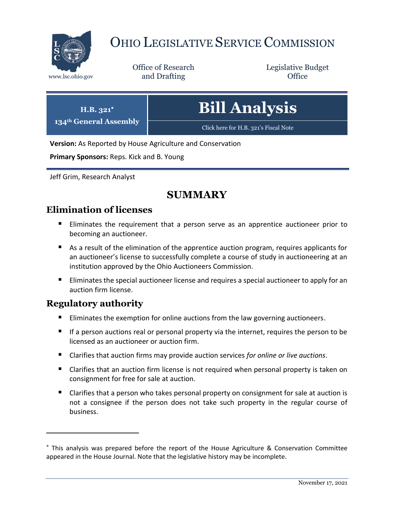

# OHIO LEGISLATIVE SERVICE COMMISSION

Office of Research www.lsc.ohio.gov **and Drafting Office** 

Legislative Budget

| $H.B. 321^*$<br>134th General Assembly | <b>Bill Analysis</b>                  |
|----------------------------------------|---------------------------------------|
|                                        | Click here for H.B. 321's Fiscal Note |

**Version:** As Reported by House Agriculture and Conservation

**Primary Sponsors:** Reps. Kick and B. Young

Jeff Grim, Research Analyst

# **SUMMARY**

# **Elimination of licenses**

- Eliminates the requirement that a person serve as an apprentice auctioneer prior to becoming an auctioneer.
- As a result of the elimination of the apprentice auction program, requires applicants for an auctioneer's license to successfully complete a course of study in auctioneering at an institution approved by the Ohio Auctioneers Commission.
- **Eliminates the special auctioneer license and requires a special auctioneer to apply for an** auction firm license.

# **Regulatory authority**

- **Eliminates the exemption for online auctions from the law governing auctioneers.**
- If a person auctions real or personal property via the internet, requires the person to be licensed as an auctioneer or auction firm.
- Clarifies that auction firms may provide auction services *for online or live auctions*.
- Clarifies that an auction firm license is not required when personal property is taken on consignment for free for sale at auction.
- Clarifies that a person who takes personal property on consignment for sale at auction is not a consignee if the person does not take such property in the regular course of business.

This analysis was prepared before the report of the House Agriculture & Conservation Committee appeared in the House Journal. Note that the legislative history may be incomplete.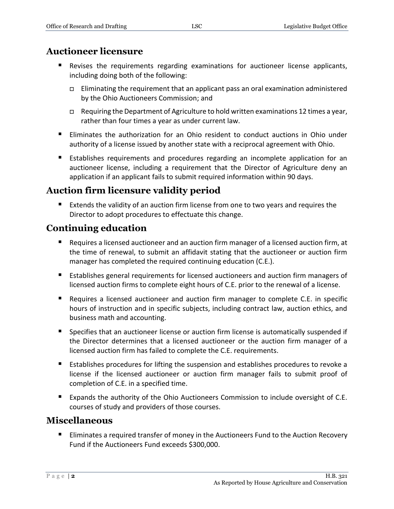# **Auctioneer licensure**

- Revises the requirements regarding examinations for auctioneer license applicants, including doing both of the following:
	- $\Box$  Eliminating the requirement that an applicant pass an oral examination administered by the Ohio Auctioneers Commission; and
	- $\Box$  Requiring the Department of Agriculture to hold written examinations 12 times a year, rather than four times a year as under current law.
- Eliminates the authorization for an Ohio resident to conduct auctions in Ohio under authority of a license issued by another state with a reciprocal agreement with Ohio.
- Establishes requirements and procedures regarding an incomplete application for an auctioneer license, including a requirement that the Director of Agriculture deny an application if an applicant fails to submit required information within 90 days.

# **Auction firm licensure validity period**

 Extends the validity of an auction firm license from one to two years and requires the Director to adopt procedures to effectuate this change.

# **Continuing education**

- Requires a licensed auctioneer and an auction firm manager of a licensed auction firm, at the time of renewal, to submit an affidavit stating that the auctioneer or auction firm manager has completed the required continuing education (C.E.).
- **Establishes general requirements for licensed auctioneers and auction firm managers of** licensed auction firms to complete eight hours of C.E. prior to the renewal of a license.
- Requires a licensed auctioneer and auction firm manager to complete C.E. in specific hours of instruction and in specific subjects, including contract law, auction ethics, and business math and accounting.
- **Specifies that an auctioneer license or auction firm license is automatically suspended if** the Director determines that a licensed auctioneer or the auction firm manager of a licensed auction firm has failed to complete the C.E. requirements.
- Establishes procedures for lifting the suspension and establishes procedures to revoke a license if the licensed auctioneer or auction firm manager fails to submit proof of completion of C.E. in a specified time.
- **Expands the authority of the Ohio Auctioneers Commission to include oversight of C.E.** courses of study and providers of those courses.

### **Miscellaneous**

**Eliminates a required transfer of money in the Auctioneers Fund to the Auction Recovery** Fund if the Auctioneers Fund exceeds \$300,000.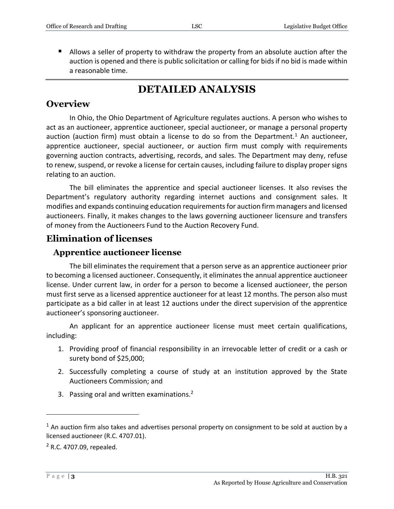Allows a seller of property to withdraw the property from an absolute auction after the auction is opened and there is public solicitation or calling for bids if no bid is made within a reasonable time.

# **DETAILED ANALYSIS**

### **Overview**

In Ohio, the Ohio Department of Agriculture regulates auctions. A person who wishes to act as an auctioneer, apprentice auctioneer, special auctioneer, or manage a personal property auction (auction firm) must obtain a license to do so from the Department.<sup>1</sup> An auctioneer, apprentice auctioneer, special auctioneer, or auction firm must comply with requirements governing auction contracts, advertising, records, and sales. The Department may deny, refuse to renew, suspend, or revoke a license for certain causes, including failure to display proper signs relating to an auction.

The bill eliminates the apprentice and special auctioneer licenses. It also revises the Department's regulatory authority regarding internet auctions and consignment sales. It modifies and expands continuing education requirements for auction firm managers and licensed auctioneers. Finally, it makes changes to the laws governing auctioneer licensure and transfers of money from the Auctioneers Fund to the Auction Recovery Fund.

# **Elimination of licenses**

### **Apprentice auctioneer license**

The bill eliminates the requirement that a person serve as an apprentice auctioneer prior to becoming a licensed auctioneer. Consequently, it eliminates the annual apprentice auctioneer license. Under current law, in order for a person to become a licensed auctioneer, the person must first serve as a licensed apprentice auctioneer for at least 12 months. The person also must participate as a bid caller in at least 12 auctions under the direct supervision of the apprentice auctioneer's sponsoring auctioneer.

An applicant for an apprentice auctioneer license must meet certain qualifications, including:

- 1. Providing proof of financial responsibility in an irrevocable letter of credit or a cash or surety bond of \$25,000;
- 2. Successfully completing a course of study at an institution approved by the State Auctioneers Commission; and
- 3. Passing oral and written examinations.<sup>2</sup>

 $1$  An auction firm also takes and advertises personal property on consignment to be sold at auction by a licensed auctioneer (R.C. 4707.01).

<sup>2</sup> R.C. 4707.09, repealed.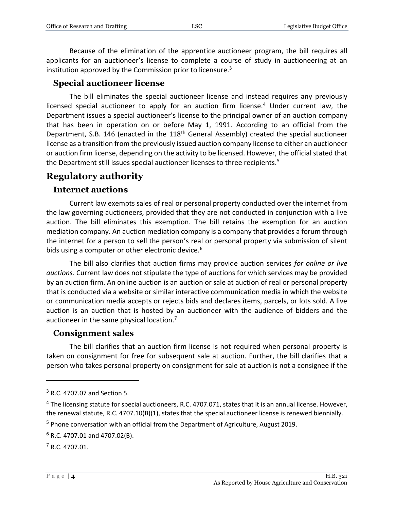Because of the elimination of the apprentice auctioneer program, the bill requires all applicants for an auctioneer's license to complete a course of study in auctioneering at an institution approved by the Commission prior to licensure. $3$ 

#### **Special auctioneer license**

The bill eliminates the special auctioneer license and instead requires any previously licensed special auctioneer to apply for an auction firm license.<sup>4</sup> Under current law, the Department issues a special auctioneer's license to the principal owner of an auction company that has been in operation on or before May 1, 1991. According to an official from the Department, S.B. 146 (enacted in the 118<sup>th</sup> General Assembly) created the special auctioneer license as a transition from the previously issued auction company license to either an auctioneer or auction firm license, depending on the activity to be licensed. However, the official stated that the Department still issues special auctioneer licenses to three recipients.<sup>5</sup>

# **Regulatory authority**

#### **Internet auctions**

Current law exempts sales of real or personal property conducted over the internet from the law governing auctioneers, provided that they are not conducted in conjunction with a live auction. The bill eliminates this exemption. The bill retains the exemption for an auction mediation company. An auction mediation company is a company that provides a forum through the internet for a person to sell the person's real or personal property via submission of silent bids using a computer or other electronic device.<sup>6</sup>

The bill also clarifies that auction firms may provide auction services *for online or live auctions*. Current law does not stipulate the type of auctions for which services may be provided by an auction firm. An online auction is an auction or sale at auction of real or personal property that is conducted via a website or similar interactive communication media in which the website or communication media accepts or rejects bids and declares items, parcels, or lots sold. A live auction is an auction that is hosted by an auctioneer with the audience of bidders and the auctioneer in the same physical location.<sup>7</sup>

### **Consignment sales**

The bill clarifies that an auction firm license is not required when personal property is taken on consignment for free for subsequent sale at auction. Further, the bill clarifies that a person who takes personal property on consignment for sale at auction is not a consignee if the

<sup>3</sup> R.C. 4707.07 and Section 5.

<sup>&</sup>lt;sup>4</sup> The licensing statute for special auctioneers, R.C. 4707.071, states that it is an annual license. However, the renewal statute, R.C. 4707.10(B)(1), states that the special auctioneer license is renewed biennially.

<sup>&</sup>lt;sup>5</sup> Phone conversation with an official from the Department of Agriculture, August 2019.

 $6$  R.C. 4707.01 and 4707.02(B).

<sup>7</sup> R.C. 4707.01.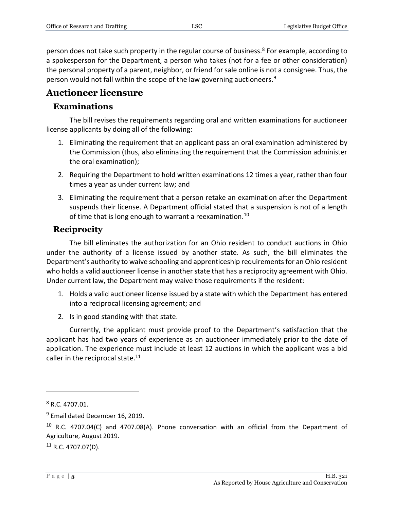person does not take such property in the regular course of business.<sup>8</sup> For example, according to a spokesperson for the Department, a person who takes (not for a fee or other consideration) the personal property of a parent, neighbor, or friend for sale online is not a consignee. Thus, the person would not fall within the scope of the law governing auctioneers.<sup>9</sup>

# **Auctioneer licensure**

# **Examinations**

The bill revises the requirements regarding oral and written examinations for auctioneer license applicants by doing all of the following:

- 1. Eliminating the requirement that an applicant pass an oral examination administered by the Commission (thus, also eliminating the requirement that the Commission administer the oral examination);
- 2. Requiring the Department to hold written examinations 12 times a year, rather than four times a year as under current law; and
- 3. Eliminating the requirement that a person retake an examination after the Department suspends their license. A Department official stated that a suspension is not of a length of time that is long enough to warrant a reexamination.<sup>10</sup>

### **Reciprocity**

The bill eliminates the authorization for an Ohio resident to conduct auctions in Ohio under the authority of a license issued by another state. As such, the bill eliminates the Department's authority to waive schooling and apprenticeship requirements for an Ohio resident who holds a valid auctioneer license in another state that has a reciprocity agreement with Ohio. Under current law, the Department may waive those requirements if the resident:

- 1. Holds a valid auctioneer license issued by a state with which the Department has entered into a reciprocal licensing agreement; and
- 2. Is in good standing with that state.

Currently, the applicant must provide proof to the Department's satisfaction that the applicant has had two years of experience as an auctioneer immediately prior to the date of application. The experience must include at least 12 auctions in which the applicant was a bid caller in the reciprocal state. $11$ 

 $\overline{a}$ 

 $11$  R.C. 4707.07(D).

 $8$  R.C. 4707.01.

<sup>&</sup>lt;sup>9</sup> Email dated December 16, 2019.

 $10$  R.C. 4707.04(C) and 4707.08(A). Phone conversation with an official from the Department of Agriculture, August 2019.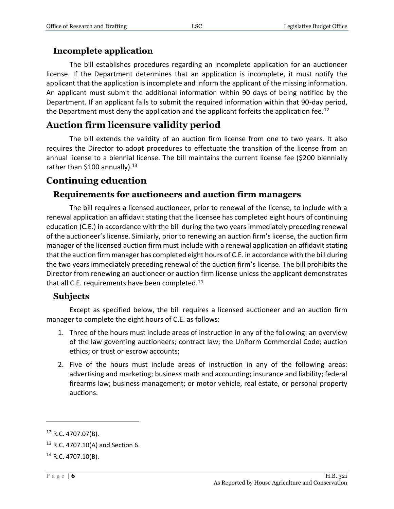### **Incomplete application**

The bill establishes procedures regarding an incomplete application for an auctioneer license. If the Department determines that an application is incomplete, it must notify the applicant that the application is incomplete and inform the applicant of the missing information. An applicant must submit the additional information within 90 days of being notified by the Department. If an applicant fails to submit the required information within that 90-day period, the Department must deny the application and the applicant forfeits the application fee.<sup>12</sup>

# **Auction firm licensure validity period**

The bill extends the validity of an auction firm license from one to two years. It also requires the Director to adopt procedures to effectuate the transition of the license from an annual license to a biennial license. The bill maintains the current license fee (\$200 biennially rather than \$100 annually).<sup>13</sup>

# **Continuing education**

### **Requirements for auctioneers and auction firm managers**

The bill requires a licensed auctioneer, prior to renewal of the license, to include with a renewal application an affidavit stating that the licensee has completed eight hours of continuing education (C.E.) in accordance with the bill during the two years immediately preceding renewal of the auctioneer's license. Similarly, prior to renewing an auction firm's license, the auction firm manager of the licensed auction firm must include with a renewal application an affidavit stating that the auction firm manager has completed eight hours of C.E. in accordance with the bill during the two years immediately preceding renewal of the auction firm's license. The bill prohibits the Director from renewing an auctioneer or auction firm license unless the applicant demonstrates that all C.E. requirements have been completed.<sup>14</sup>

### **Subjects**

Except as specified below, the bill requires a licensed auctioneer and an auction firm manager to complete the eight hours of C.E. as follows:

- 1. Three of the hours must include areas of instruction in any of the following: an overview of the law governing auctioneers; contract law; the Uniform Commercial Code; auction ethics; or trust or escrow accounts;
- 2. Five of the hours must include areas of instruction in any of the following areas: advertising and marketing; business math and accounting; insurance and liability; federal firearms law; business management; or motor vehicle, real estate, or personal property auctions.

 $12$  R.C. 4707.07(B).

<sup>13</sup> R.C. 4707.10(A) and Section 6.

 $14$  R.C. 4707.10(B).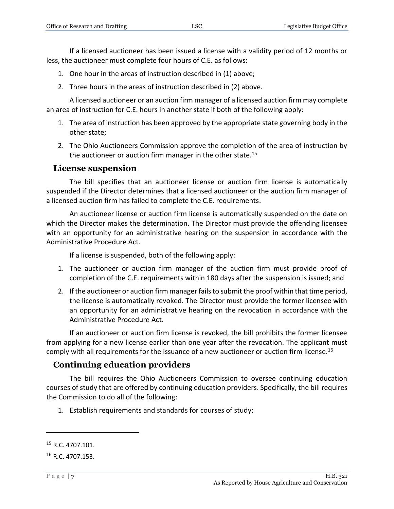If a licensed auctioneer has been issued a license with a validity period of 12 months or less, the auctioneer must complete four hours of C.E. as follows:

- 1. One hour in the areas of instruction described in (1) above;
- 2. Three hours in the areas of instruction described in (2) above.

A licensed auctioneer or an auction firm manager of a licensed auction firm may complete an area of instruction for C.E. hours in another state if both of the following apply:

- 1. The area of instruction has been approved by the appropriate state governing body in the other state;
- 2. The Ohio Auctioneers Commission approve the completion of the area of instruction by the auctioneer or auction firm manager in the other state.<sup>15</sup>

#### **License suspension**

The bill specifies that an auctioneer license or auction firm license is automatically suspended if the Director determines that a licensed auctioneer or the auction firm manager of a licensed auction firm has failed to complete the C.E. requirements.

An auctioneer license or auction firm license is automatically suspended on the date on which the Director makes the determination. The Director must provide the offending licensee with an opportunity for an administrative hearing on the suspension in accordance with the Administrative Procedure Act.

If a license is suspended, both of the following apply:

- 1. The auctioneer or auction firm manager of the auction firm must provide proof of completion of the C.E. requirements within 180 days after the suspension is issued; and
- 2. If the auctioneer or auction firm manager fails to submit the proof within that time period, the license is automatically revoked. The Director must provide the former licensee with an opportunity for an administrative hearing on the revocation in accordance with the Administrative Procedure Act.

If an auctioneer or auction firm license is revoked, the bill prohibits the former licensee from applying for a new license earlier than one year after the revocation. The applicant must comply with all requirements for the issuance of a new auctioneer or auction firm license.<sup>16</sup>

### **Continuing education providers**

The bill requires the Ohio Auctioneers Commission to oversee continuing education courses of study that are offered by continuing education providers. Specifically, the bill requires the Commission to do all of the following:

1. Establish requirements and standards for courses of study;

<sup>15</sup> R.C. 4707.101.

<sup>&</sup>lt;sup>16</sup> R.C. 4707.153.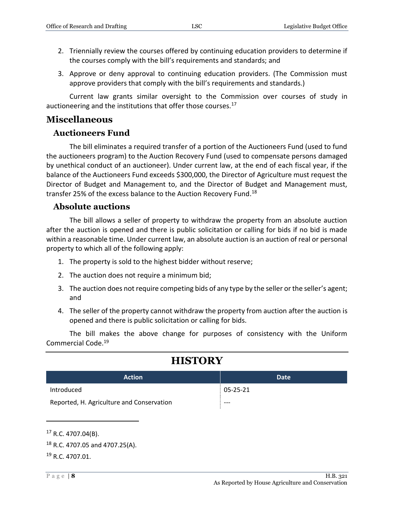- 2. Triennially review the courses offered by continuing education providers to determine if the courses comply with the bill's requirements and standards; and
- 3. Approve or deny approval to continuing education providers. (The Commission must approve providers that comply with the bill's requirements and standards.)

Current law grants similar oversight to the Commission over courses of study in auctioneering and the institutions that offer those courses.<sup>17</sup>

### **Miscellaneous**

### **Auctioneers Fund**

The bill eliminates a required transfer of a portion of the Auctioneers Fund (used to fund the auctioneers program) to the Auction Recovery Fund (used to compensate persons damaged by unethical conduct of an auctioneer). Under current law, at the end of each fiscal year, if the balance of the Auctioneers Fund exceeds \$300,000, the Director of Agriculture must request the Director of Budget and Management to, and the Director of Budget and Management must, transfer 25% of the excess balance to the Auction Recovery Fund.<sup>18</sup>

### **Absolute auctions**

The bill allows a seller of property to withdraw the property from an absolute auction after the auction is opened and there is public solicitation or calling for bids if no bid is made within a reasonable time. Under current law, an absolute auction is an auction of real or personal property to which all of the following apply:

- 1. The property is sold to the highest bidder without reserve;
- 2. The auction does not require a minimum bid;
- 3. The auction does not require competing bids of any type by the seller or the seller's agent; and
- 4. The seller of the property cannot withdraw the property from auction after the auction is opened and there is public solicitation or calling for bids.

The bill makes the above change for purposes of consistency with the Uniform Commercial Code.<sup>19</sup>

# **HISTORY**

| <b>Action</b>                             | Date     |
|-------------------------------------------|----------|
| Introduced                                | 05-25-21 |
| Reported, H. Agriculture and Conservation | $---$    |

 $17$  R.C. 4707.04(B).

<sup>19</sup> R.C. 4707.01.

 $18$  R.C. 4707.05 and 4707.25(A).